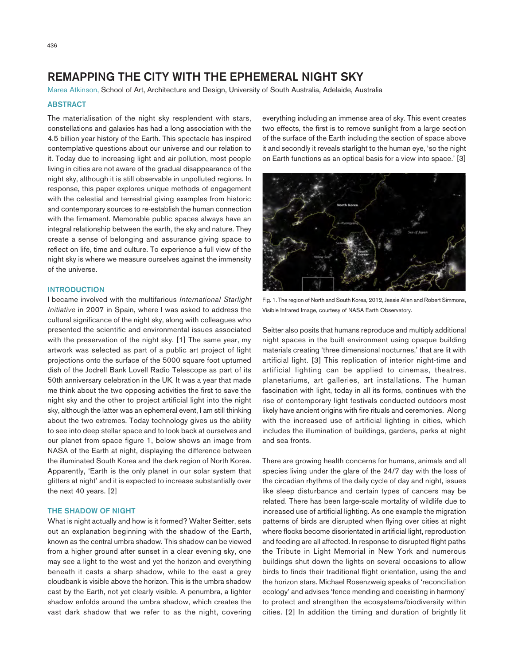# REMAPPING THE CITY WITH THE EPHEMERAL NIGHT SKY

Marea Atkinson, School of Art, Architecture and Design, University of South Australia, Adelaide, Australia

## **ABSTRACT**

The materialisation of the night sky resplendent with stars, constellations and galaxies has had a long association with the 4.5 billion year history of the Earth. This spectacle has inspired contemplative questions about our universe and our relation to it. Today due to increasing light and air pollution, most people living in cities are not aware of the gradual disappearance of the night sky, although it is still observable in unpolluted regions. In response, this paper explores unique methods of engagement with the celestial and terrestrial giving examples from historic and contemporary sources to re-establish the human connection with the firmament. Memorable public spaces always have an integral relationship between the earth, the sky and nature. They create a sense of belonging and assurance giving space to reflect on life, time and culture. To experience a full view of the night sky is where we measure ourselves against the immensity of the universe.

#### **INTRODUCTION**

I became involved with the multifarious *International Starlight Initiative* in 2007 in Spain, where I was asked to address the cultural significance of the night sky, along with colleagues who presented the scientific and environmental issues associated with the preservation of the night sky. [1] The same year, my artwork was selected as part of a public art project of light projections onto the surface of the 5000 square foot upturned dish of the Jodrell Bank Lovell Radio Telescope as part of its 50th anniversary celebration in the UK. It was a year that made me think about the two opposing activities the first to save the night sky and the other to project artificial light into the night sky, although the latter was an ephemeral event, I am still thinking about the two extremes. Today technology gives us the ability to see into deep stellar space and to look back at ourselves and our planet from space figure 1, below shows an image from NASA of the Earth at night, displaying the difference between the illuminated South Korea and the dark region of North Korea. Apparently, 'Earth is the only planet in our solar system that glitters at night' and it is expected to increase substantially over the next 40 years. [2]

#### THE SHADOW OF NIGHT

What is night actually and how is it formed? Walter Seitter, sets out an explanation beginning with the shadow of the Earth, known as the central umbra shadow. This shadow can be viewed from a higher ground after sunset in a clear evening sky, one may see a light to the west and yet the horizon and everything beneath it casts a sharp shadow, while to the east a grey cloudbank is visible above the horizon. This is the umbra shadow cast by the Earth, not yet clearly visible. A penumbra, a lighter shadow enfolds around the umbra shadow, which creates the vast dark shadow that we refer to as the night, covering everything including an immense area of sky. This event creates two effects, the first is to remove sunlight from a large section of the surface of the Earth including the section of space above it and secondly it reveals starlight to the human eye, 'so the night on Earth functions as an optical basis for a view into space.' [3]



Fig. 1. The region of North and South Korea, 2012, Jessie Allen and Robert Simmons, Visible Infrared Image, courtesy of NASA Earth Observatory.

Seitter also posits that humans reproduce and multiply additional night spaces in the built environment using opaque building materials creating 'three dimensional nocturnes,' that are lit with artificial light. [3] This replication of interior night-time and artificial lighting can be applied to cinemas, theatres, planetariums, art galleries, art installations. The human fascination with light, today in all its forms, continues with the rise of contemporary light festivals conducted outdoors most likely have ancient origins with fire rituals and ceremonies. Along with the increased use of artificial lighting in cities, which includes the illumination of buildings, gardens, parks at night and sea fronts.

There are growing health concerns for humans, animals and all species living under the glare of the 24/7 day with the loss of the circadian rhythms of the daily cycle of day and night, issues like sleep disturbance and certain types of cancers may be related. There has been large-scale mortality of wildlife due to increased use of artificial lighting. As one example the migration patterns of birds are disrupted when flying over cities at night where flocks become disorientated in artificial light, reproduction and feeding are all affected. In response to disrupted flight paths the Tribute in Light Memorial in New York and numerous buildings shut down the lights on several occasions to allow birds to finds their traditional flight orientation, using the and the horizon stars. Michael Rosenzweig speaks of 'reconciliation ecology' and advises 'fence mending and coexisting in harmony' to protect and strengthen the ecosystems/biodiversity within cities. [2] In addition the timing and duration of brightly lit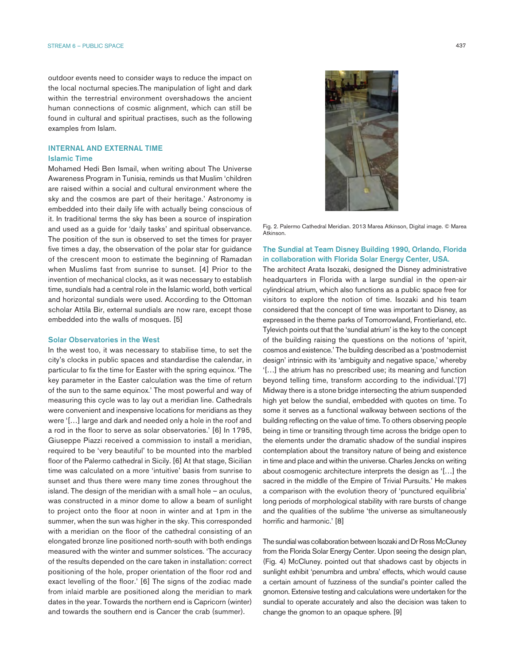outdoor events need to consider ways to reduce the impact on the local nocturnal species.The manipulation of light and dark within the terrestrial environment overshadows the ancient human connections of cosmic alignment, which can still be found in cultural and spiritual practises, such as the following examples from Islam.

#### INTERNAL AND EXTERNAL TIME Islamic Time

Mohamed Hedi Ben Ismail, when writing about The Universe Awareness Program in Tunisia, reminds us that Muslim 'children are raised within a social and cultural environment where the sky and the cosmos are part of their heritage.' Astronomy is embedded into their daily life with actually being conscious of it. In traditional terms the sky has been a source of inspiration and used as a guide for 'daily tasks' and spiritual observance. The position of the sun is observed to set the times for prayer five times a day, the observation of the polar star for guidance of the crescent moon to estimate the beginning of Ramadan when Muslims fast from sunrise to sunset. [4] Prior to the invention of mechanical clocks, as it was necessary to establish time, sundials had a central role in the Islamic world, both vertical and horizontal sundials were used. According to the Ottoman scholar Attila Bir, external sundials are now rare, except those embedded into the walls of mosques. [5]

#### Solar Observatories in the West

In the west too, it was necessary to stabilise time, to set the city's clocks in public spaces and standardise the calendar, in particular to fix the time for Easter with the spring equinox. 'The key parameter in the Easter calculation was the time of return of the sun to the same equinox.' The most powerful and way of measuring this cycle was to lay out a meridian line. Cathedrals were convenient and inexpensive locations for meridians as they were '[…] large and dark and needed only a hole in the roof and a rod in the floor to serve as solar observatories.' [6] In 1795, Giuseppe Piazzi received a commission to install a meridian, required to be 'very beautiful' to be mounted into the marbled floor of the Palermo cathedral in Sicily. [6] At that stage, Sicilian time was calculated on a more 'intuitive' basis from sunrise to sunset and thus there were many time zones throughout the island. The design of the meridian with a small hole – an oculus, was constructed in a minor dome to allow a beam of sunlight to project onto the floor at noon in winter and at 1pm in the summer, when the sun was higher in the sky. This corresponded with a meridian on the floor of the cathedral consisting of an elongated bronze line positioned north-south with both endings measured with the winter and summer solstices. 'The accuracy of the results depended on the care taken in installation: correct positioning of the hole, proper orientation of the floor rod and exact levelling of the floor.' [6] The signs of the zodiac made from inlaid marble are positioned along the meridian to mark dates in the year. Towards the northern end is Capricorn (winter) and towards the southern end is Cancer the crab (summer).



Fig. 2. Palermo Cathedral Meridian. 2013 Marea Atkinson, Digital image. © Marea Atkinson.

# The Sundial at Team Disney Building 1990, Orlando, Florida in collaboration with Florida Solar Energy Center, USA.

The architect Arata Isozaki, designed the Disney administrative headquarters in Florida with a large sundial in the open-air cylindrical atrium, which also functions as a public space free for visitors to explore the notion of time. Isozaki and his team considered that the concept of time was important to Disney, as expressed in the theme parks of Tomorrowland, Frontierland, etc. Tylevich points out that the 'sundial atrium' is the key to the concept of the building raising the questions on the notions of 'spirit, cosmos and existence.' The building described as a 'postmodernist design' intrinsic with its 'ambiguity and negative space,' whereby '[…] the atrium has no prescribed use; its meaning and function beyond telling time, transform according to the individual.'[7] Midway there is a stone bridge intersecting the atrium suspended high yet below the sundial, embedded with quotes on time. To some it serves as a functional walkway between sections of the building reflecting on the value of time. To others observing people being in time or transiting through time across the bridge open to the elements under the dramatic shadow of the sundial inspires contemplation about the transitory nature of being and existence in time and place and within the universe. Charles Jencks on writing about cosmogenic architecture interprets the design as '[…] the sacred in the middle of the Empire of Trivial Pursuits.' He makes a comparison with the evolution theory of 'punctured equilibria' long periods of morphological stability with rare bursts of change and the qualities of the sublime 'the universe as simultaneously horrific and harmonic.' [8]

The sundial was collaboration between Isozaki and Dr Ross McCluney from the Florida Solar Energy Center. Upon seeing the design plan, (Fig. 4) McCluney. pointed out that shadows cast by objects in sunlight exhibit 'penumbra and umbra' effects, which would cause a certain amount of fuzziness of the sundial's pointer called the gnomon. Extensive testing and calculations were undertaken for the sundial to operate accurately and also the decision was taken to change the gnomon to an opaque sphere. [9]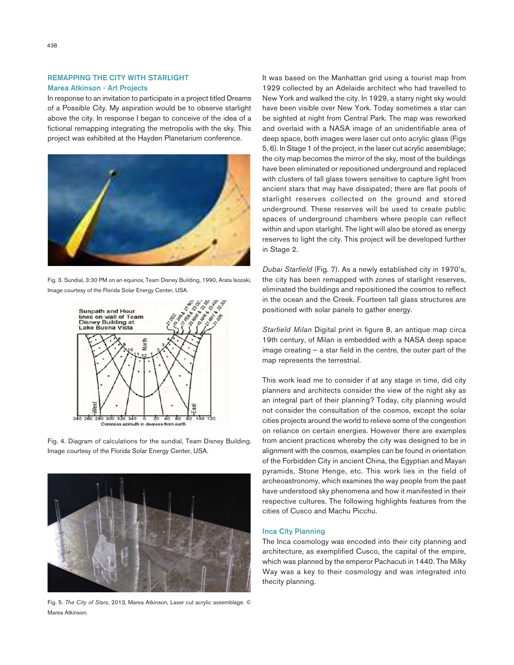# REMAPPING THE CITY WITH STARLIGHT Marea Atkinson - Art Projects

In response to an invitation to participate in a project titled Dreams of a Possible City. My aspiration would be to observe starlight above the city. In response I began to conceive of the idea of a fictional remapping integrating the metropolis with the sky. This project was exhibited at the Hayden Planetarium conference.



Fig. 3. Sundial, 3:30 PM on an equinox, Team Disney Building, 1990, Arata Isozaki, Image courtesy of the Florida Solar Energy Center, USA.



Fig. 4. Diagram of calculations for the sundial, Team Disney Building. Image courtesy of the Florida Solar Energy Center, USA.



Fig. 5. *The City of Stars*, 2013, Marea Atkinson, Laser cut acrylic assemblage. © Marea Atkinson.

It was based on the Manhattan grid using a tourist map from 1929 collected by an Adelaide architect who had travelled to New York and walked the city. In 1929, a starry night sky would have been visible over New York. Today sometimes a star can be sighted at night from Central Park. The map was reworked and overlaid with a NASA image of an unidentifiable area of deep space, both images were laser cut onto acrylic glass (Figs 5, 6). In Stage 1 of the project, in the laser cut acrylic assemblage; the city map becomes the mirror of the sky, most of the buildings have been eliminated or repositioned underground and replaced with clusters of tall glass towers sensitive to capture light from ancient stars that may have dissipated; there are flat pools of starlight reserves collected on the ground and stored underground. These reserves will be used to create public spaces of underground chambers where people can reflect within and upon starlight. The light will also be stored as energy reserves to light the city. This project will be developed further in Stage 2.

*Dubai Starfield* (Fig. 7). As a newly established city in 1970's, the city has been remapped with zones of starlight reserves, eliminated the buildings and repositioned the cosmos to reflect in the ocean and the Creek. Fourteen tall glass structures are positioned with solar panels to gather energy.

*Starfield Milan* Digital print in figure 8, an antique map circa 19th century, of Milan is embedded with a NASA deep space image creating – a star field in the centre, the outer part of the map represents the terrestrial.

This work lead me to consider if at any stage in time, did city planners and architects consider the view of the night sky as an integral part of their planning? Today, city planning would not consider the consultation of the cosmos, except the solar cities projects around the world to relieve some of the congestion on reliance on certain energies. However there are examples from ancient practices whereby the city was designed to be in alignment with the cosmos, examples can be found in orientation of the Forbidden City in ancient China, the Egyptian and Mayan pyramids, Stone Henge, etc. This work lies in the field of archeoastronomy, which examines the way people from the past have understood sky phenomena and how it manifested in their respective cultures. The following highlights features from the cities of Cusco and Machu Picchu.

### Inca City Planning

The Inca cosmology was encoded into their city planning and architecture, as exemplified Cusco, the capital of the empire, which was planned by the emperor Pachacuti in 1440. The Milky Way was a key to their cosmology and was integrated into thecity planning.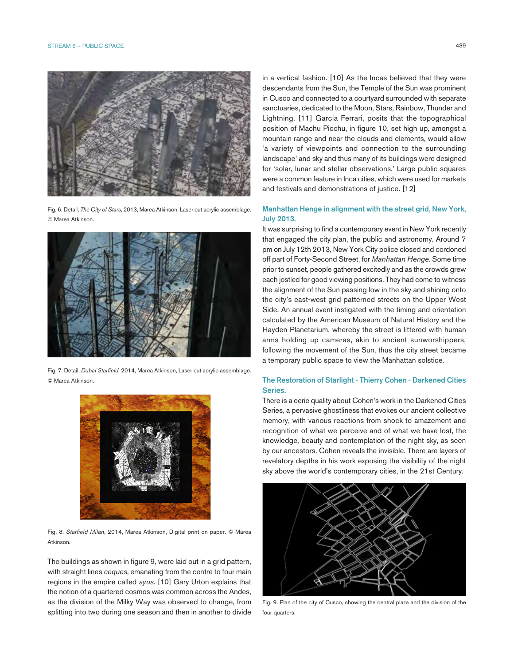

Fig. 6. Detail, *The City of Stars*, 2013, Marea Atkinson, Laser cut acrylic assemblage. © Marea Atkinson.



Fig. 7. Detail, *Dubai Starfield*, 2014, Marea Atkinson, Laser cut acrylic assemblage. © Marea Atkinson.



Fig. 8. *Starfield Milan*, 2014, Marea Atkinson, Digital print on paper. © Marea Atkinson.

The buildings as shown in figure 9, were laid out in a grid pattern, with straight lines *ceques*, emanating from the centre to four main regions in the empire called *syus*. [10] Gary Urton explains that the notion of a quartered cosmos was common across the Andes, as the division of the Milky Way was observed to change, from splitting into two during one season and then in another to divide

in a vertical fashion. [10] As the Incas believed that they were descendants from the Sun, the Temple of the Sun was prominent in Cusco and connected to a courtyard surrounded with separate sanctuaries, dedicated to the Moon, Stars, Rainbow, Thunder and Lightning. [11] Garcia Ferrari, posits that the topographical position of Machu Picchu, in figure 10, set high up, amongst a mountain range and near the clouds and elements, would allow 'a variety of viewpoints and connection to the surrounding landscape' and sky and thus many of its buildings were designed for 'solar, lunar and stellar observations.' Large public squares were a common feature in Inca cities, which were used for markets and festivals and demonstrations of justice. [12]

# Manhattan Henge in alignment with the street grid, New York, July 2013.

It was surprising to find a contemporary event in New York recently that engaged the city plan, the public and astronomy. Around 7 pm on July 12th 2013, New York City police closed and cordoned off part of Forty-Second Street, for *Manhattan Henge.* Some time prior to sunset, people gathered excitedly and as the crowds grew each jostled for good viewing positions. They had come to witness the alignment of the Sun passing low in the sky and shining onto the city's east-west grid patterned streets on the Upper West Side. An annual event instigated with the timing and orientation calculated by the American Museum of Natural History and the Hayden Planetarium, whereby the street is littered with human arms holding up cameras, akin to ancient sunworshippers, following the movement of the Sun, thus the city street became a temporary public space to view the Manhattan solstice.

# The Restoration of Starlight - Thierry Cohen - Darkened Cities Series.

There is a eerie quality about Cohen's work in the Darkened Cities Series, a pervasive ghostliness that evokes our ancient collective memory, with various reactions from shock to amazement and recognition of what we perceive and of what we have lost, the knowledge, beauty and contemplation of the night sky, as seen by our ancestors. Cohen reveals the invisible. There are layers of revelatory depths in his work exposing the visibility of the night sky above the world's contemporary cities, in the 21st Century.



Fig. 9. Plan of the city of Cusco, showing the central plaza and the division of the four quarters.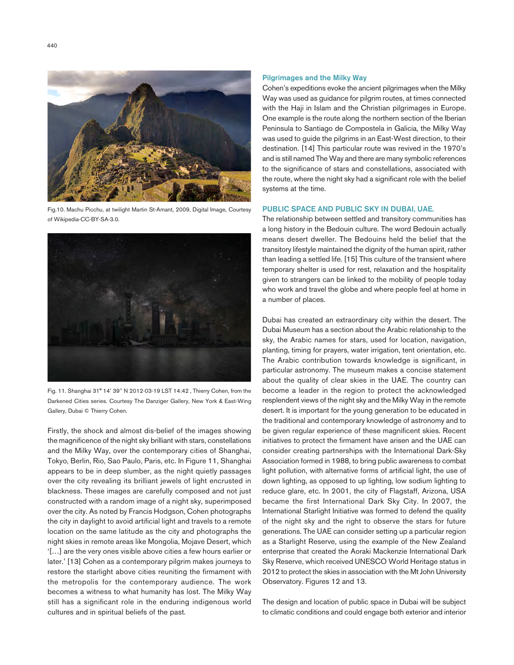Fig.10. Machu Picchu, at twilight Martin St-Amant, 2009, Digital Image, Courtesy of Wikipedia-CC-BY-SA-3.0.



Fig. 11. Shanghai 31° 14' 39'' N 2012-03-19 LST 14:42 , Thierry Cohen, from the Darkened Cities series. Courtesy The Danziger Gallery, New York & East-Wing Gallery, Dubai © Thierry Cohen.

Firstly, the shock and almost dis-belief of the images showing the magnificence of the night sky brilliant with stars, constellations and the Milky Way, over the contemporary cities of Shanghai, Tokyo, Berlin, Rio, Sao Paulo, Paris, etc. In Figure 11, Shanghai appears to be in deep slumber, as the night quietly passages over the city revealing its brilliant jewels of light encrusted in blackness. These images are carefully composed and not just constructed with a random image of a night sky, superimposed over the city. As noted by Francis Hodgson, Cohen photographs the city in daylight to avoid artificial light and travels to a remote location on the same latitude as the city and photographs the night skies in remote areas like Mongolia, Mojave Desert, which '[…] are the very ones visible above cities a few hours earlier or later.' [13] Cohen as a contemporary pilgrim makes journeys to restore the starlight above cities reuniting the firmament with the metropolis for the contemporary audience. The work becomes a witness to what humanity has lost. The Milky Way still has a significant role in the enduring indigenous world cultures and in spiritual beliefs of the past.

#### Pilgrimages and the Milky Way

Cohen's expeditions evoke the ancient pilgrimages when the Milky Way was used as guidance for pilgrim routes, at times connected with the Haji in Islam and the Christian pilgrimages in Europe. One example is the route along the northern section of the Iberian Peninsula to Santiago de Compostela in Galicia, the Milky Way was used to guide the pilgrims in an East-West direction, to their destination. [14] This particular route was revived in the 1970's and is still named The Way and there are many symbolic references to the significance of stars and constellations, associated with the route, where the night sky had a significant role with the belief systems at the time.

# PUBLIC SPACE AND PUBLIC SKY IN DUBAI, UAE.

The relationship between settled and transitory communities has a long history in the Bedouin culture. The word Bedouin actually means desert dweller. The Bedouins held the belief that the transitory lifestyle maintained the dignity of the human spirit, rather than leading a settled life. [15] This culture of the transient where temporary shelter is used for rest, relaxation and the hospitality given to strangers can be linked to the mobility of people today who work and travel the globe and where people feel at home in a number of places.

Dubai has created an extraordinary city within the desert. The Dubai Museum has a section about the Arabic relationship to the sky, the Arabic names for stars, used for location, navigation, planting, timing for prayers, water irrigation, tent orientation, etc. The Arabic contribution towards knowledge is significant, in particular astronomy. The museum makes a concise statement about the quality of clear skies in the UAE. The country can become a leader in the region to protect the acknowledged resplendent views of the night sky and the Milky Way in the remote desert. It is important for the young generation to be educated in the traditional and contemporary knowledge of astronomy and to be given regular experience of these magnificent skies. Recent initiatives to protect the firmament have arisen and the UAE can consider creating partnerships with the International Dark-Sky Association formed in 1988, to bring public awareness to combat light pollution, with alternative forms of artificial light, the use of down lighting, as opposed to up lighting, low sodium lighting to reduce glare, etc. In 2001, the city of Flagstaff, Arizona, USA became the first International Dark Sky City. In 2007, the International Starlight Initiative was formed to defend the quality of the night sky and the right to observe the stars for future generations. The UAE can consider setting up a particular region as a Starlight Reserve, using the example of the New Zealand enterprise that created the Aoraki Mackenzie International Dark Sky Reserve, which received UNESCO World Heritage status in 2012 to protect the skies in association with the Mt John University Observatory. Figures 12 and 13.

The design and location of public space in Dubai will be subject to climatic conditions and could engage both exterior and interior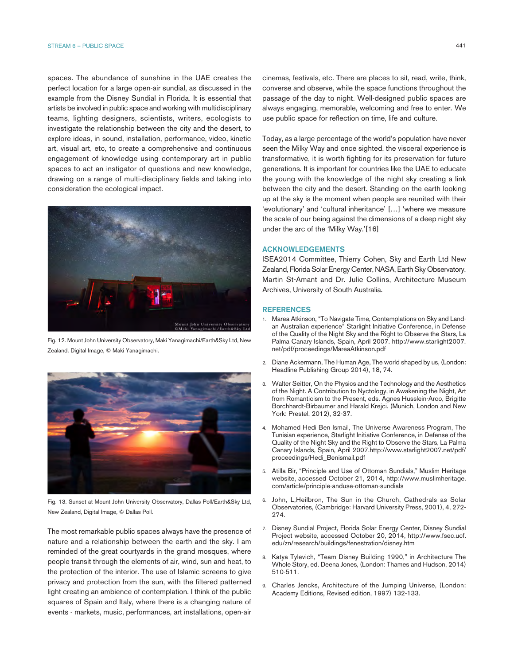spaces. The abundance of sunshine in the UAE creates the perfect location for a large open-air sundial, as discussed in the example from the Disney Sundial in Florida. It is essential that artists be involved in public space and working with multidisciplinary teams, lighting designers, scientists, writers, ecologists to investigate the relationship between the city and the desert, to explore ideas, in sound, installation, performance, video, kinetic art, visual art, etc, to create a comprehensive and continuous engagement of knowledge using contemporary art in public spaces to act an instigator of questions and new knowledge, drawing on a range of multi-disciplinary fields and taking into consideration the ecological impact.



Fig. 12. Mount John University Observatory, Maki Yanagimachi/Earth&Sky Ltd, New Zealand. Digital Image, © Maki Yanagimachi.



Fig. 13. Sunset at Mount John University Observatory, Dallas Poll/Earth&Sky Ltd, New Zealand, Digital Image, © Dallas Poll.

The most remarkable public spaces always have the presence of nature and a relationship between the earth and the sky. I am reminded of the great courtyards in the grand mosques, where people transit through the elements of air, wind, sun and heat, to the protection of the interior. The use of Islamic screens to give privacy and protection from the sun, with the filtered patterned light creating an ambience of contemplation. I think of the public squares of Spain and Italy, where there is a changing nature of events - markets, music, performances, art installations, open-air cinemas, festivals, etc. There are places to sit, read, write, think, converse and observe, while the space functions throughout the passage of the day to night. Well-designed public spaces are always engaging, memorable, welcoming and free to enter. We use public space for reflection on time, life and culture.

Today, as a large percentage of the world's population have never seen the Milky Way and once sighted, the visceral experience is transformative, it is worth fighting for its preservation for future generations. It is important for countries like the UAE to educate the young with the knowledge of the night sky creating a link between the city and the desert. Standing on the earth looking up at the sky is the moment when people are reunited with their 'evolutionary' and 'cultural inheritance' […] 'where we measure the scale of our being against the dimensions of a deep night sky under the arc of the 'Milky Way.'[16]

# ACKNOWLEDGEMENTS

ISEA2014 Committee, Thierry Cohen, Sky and Earth Ltd New Zealand, Florida Solar Energy Center, NASA, Earth Sky Observatory, Martin St-Amant and Dr. Julie Collins, Architecture Museum Archives, University of South Australia.

#### REFERENCES

- 1. Marea Atkinson, "To Navigate Time, Contemplations on Sky and Landan Australian experience" Starlight Initiative Conference, in Defense of the Quality of the Night Sky and the Right to Observe the Stars, La Palma Canary Islands, Spain, April 2007. http://www.starlight2007. net/pdf/proceedings/MareaAtkinson.pdf
- 2. Diane Ackermann, The Human Age, The world shaped by us, (London: Headline Publishing Group 2014), 18, 74.
- 3. Walter Seitter, On the Physics and the Technology and the Aesthetics of the Night. A Contribution to Nyctology, in Awakening the Night, Art from Romanticism to the Present, eds. Agnes Husslein-Arco, Brigitte Borchhardt-Birbaumer and Harald Krejci. (Munich, London and New York: Prestel, 2012), 32-37.
- 4. Mohamed Hedi Ben Ismail, The Universe Awareness Program, The Tunisian experience, Starlight Initiative Conference, in Defense of the Quality of the Night Sky and the Right to Observe the Stars, La Palma Canary Islands, Spain, April 2007.http://www.starlight2007.net/pdf/ proceedings/Hedi\_Benismail.pdf
- 5. Atilla Bir, "Principle and Use of Ottoman Sundials," Muslim Heritage website, accessed October 21, 2014, http://www.muslimheritage. com/article/principle-anduse-ottoman-sundials
- 6. John, L,Heilbron, The Sun in the Church, Cathedrals as Solar Observatories, (Cambridge: Harvard University Press, 2001), 4, 272- 274.
- 7. Disney Sundial Project, Florida Solar Energy Center, Disney Sundial Project website, accessed October 20, 2014, http://www.fsec.ucf. edu/zn/research/buildings/fenestration/disney.htm
- 8. Katya Tylevich, "Team Disney Building 1990," in Architecture The Whole Story, ed. Deena Jones, (London: Thames and Hudson, 2014) 510-511.
- 9. Charles Jencks, Architecture of the Jumping Universe, (London: Academy Editions, Revised edition, 1997) 132-133.